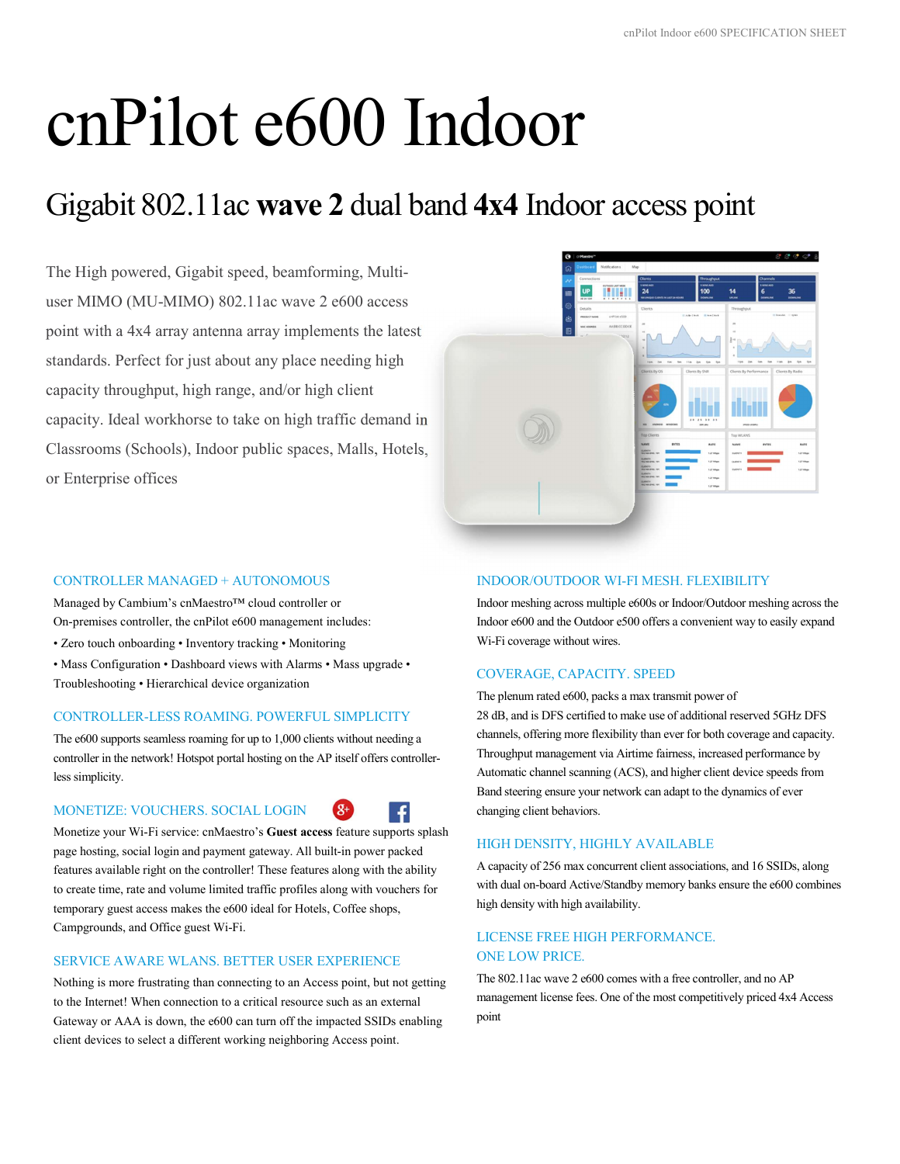# cnPilot e600 Indoor

## Gigabit 802.11ac wave 2 dual band 4x4 Indoor access point

The High powered, Gigabit speed, beamforming, Multiuser MIMO (MU-MIMO) 802.11ac wave 2 e600 access point with a 4x4 array antenna array implements the latest standards. Perfect for just about any place needing high capacity throughput, high range, and/or high client capacity. Ideal workhorse to take on high traffic demand in Classrooms (Schools), Indoor public spaces, Malls, Hotels, or Enterprise offices



#### CONTROLLER MANAGED + AUTONOMOUS

Managed by Cambium's cnMaestro™ cloud controller or On-premises controller, the cnPilot e600 management includes:

- Zero touch onboarding Inventory tracking Monitoring
- Mass Configuration Dashboard views with Alarms Mass upgrade Troubleshooting • Hierarchical device organization

#### CONTROLLER-LESS ROAMING. POWERFUL SIMPLICITY

The e600 supports seamless roaming for up to 1,000 clients without needing a controller in the network! Hotspot portal hosting on the AP itself offers controllerless simplicity.

#### MONETIZE: VOUCHERS. SOCIAL LOGIN



 $\mathbf{R}^+$ 

Monetize your Wi-Fi service: cnMaestro's Guest access feature supports splash page hosting, social login and payment gateway. All built-in power packed features available right on the controller! These features along with the ability to create time, rate and volume limited traffic profiles along with vouchers for temporary guest access makes the e600 ideal for Hotels, Coffee shops, Campgrounds, and Office guest Wi-Fi.

#### SERVICE AWARE WLANS. BETTER USER EXPERIENCE

Nothing is more frustrating than connecting to an Access point, but not getting to the Internet! When connection to a critical resource such as an external Gateway or AAA is down, the e600 can turn off the impacted SSIDs enabling client devices to select a different working neighboring Access point.

#### INDOOR/OUTDOOR WI-FI MESH. FLEXIBILITY

Indoor meshing across multiple e600s or Indoor/Outdoor meshing across the Indoor e600 and the Outdoor e500 offers a convenient way to easily expand Wi-Fi coverage without wires.

#### COVERAGE, CAPACITY. SPEED

The plenum rated e600, packs a max transmit power of 28 dB, and is DFS certified to make use of additional reserved 5GHz DFS channels, offering more flexibility than ever for both coverage and capacity. Throughput management via Airtime fairness, increased performance by Automatic channel scanning (ACS), and higher client device speeds from Band steering ensure your network can adapt to the dynamics of ever changing client behaviors.

#### HIGH DENSITY, HIGHLY AVAILABLE

A capacity of 256 max concurrent client associations, and 16 SSIDs, along with dual on-board Active/Standby memory banks ensure the e600 combines high density with high availability.

#### LICENSE FREE HIGH PERFORMANCE. ONE LOW PRICE.

The 802.11ac wave 2 e600 comes with a free controller, and no AP management license fees. One of the most competitively priced 4x4 Access point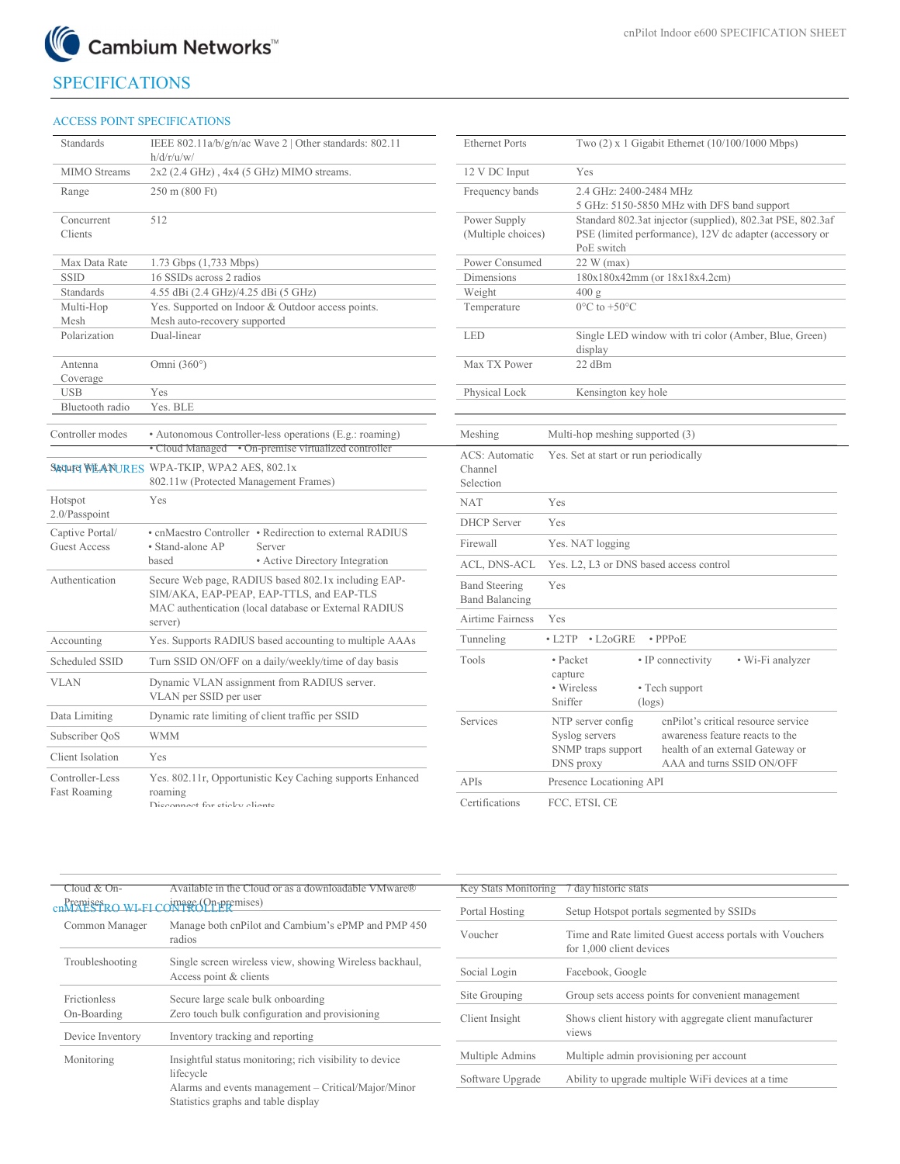

### SPECIFICATIONS

#### ACCESS POINT SPECIFICATIONS

| Standards                              | IEEE 802.11a/b/g/n/ac Wave 2   Other standards: 802.11<br>h/d/r/u/w/                                                                                     | <b>Ethernet Ports</b>                         |                                                           | Two (2) x 1 Gigabit Ethernet (10/10                                       |
|----------------------------------------|----------------------------------------------------------------------------------------------------------------------------------------------------------|-----------------------------------------------|-----------------------------------------------------------|---------------------------------------------------------------------------|
| MIMO Streams                           | $2x2$ (2.4 GHz), 4x4 (5 GHz) MIMO streams.                                                                                                               | 12 V DC Input                                 | Yes                                                       |                                                                           |
| Range                                  | 250 m (800 Ft)                                                                                                                                           | Frequency bands                               | 2.4 GHz: 2400-2484 MHz<br>5 GHz: 5150-5850 MHz with DFS I |                                                                           |
| Concurrent<br>Clients                  | 512                                                                                                                                                      | Power Supply<br>(Multiple choices)            | PoE switch                                                | Standard 802.3at injector (supplied)<br>PSE (limited performance), 12V dc |
| Max Data Rate                          | $1.73$ Gbps $(1,733$ Mbps)                                                                                                                               | Power Consumed                                | 22 W (max)                                                |                                                                           |
| <b>SSID</b>                            | 16 SSIDs across 2 radios                                                                                                                                 | Dimensions                                    |                                                           | 180x180x42mm (or 18x18x4.2cm)                                             |
| Standards                              | 4.55 dBi (2.4 GHz)/4.25 dBi (5 GHz)                                                                                                                      | Weight                                        | 400 g                                                     |                                                                           |
| Multi-Hop<br>Mesh                      | Yes. Supported on Indoor & Outdoor access points.<br>Mesh auto-recovery supported                                                                        | Temperature                                   | $0^{\circ}$ C to $+50^{\circ}$ C                          |                                                                           |
| Polarization                           | Dual-linear                                                                                                                                              | <b>LED</b>                                    | display                                                   | Single LED window with tri color (                                        |
| Antenna<br>Coverage                    | Omni $(360^{\circ})$                                                                                                                                     | Max TX Power                                  | 22 dBm                                                    |                                                                           |
| <b>USB</b>                             | Yes                                                                                                                                                      | Physical Lock                                 | Kensington key hole                                       |                                                                           |
| Bluetooth radio                        | Yes. BLE                                                                                                                                                 |                                               |                                                           |                                                                           |
| Controller modes                       | • Autonomous Controller-less operations (E.g.: roaming)                                                                                                  | Meshing                                       | Multi-hop meshing supported (3)                           |                                                                           |
|                                        | • Cloud Managed • On-premise virtualized controller<br><b>Sequre WEANURES</b> WPA-TKIP, WPA2 AES, 802.1x<br>802.11w (Protected Management Frames)        | ACS: Automatic<br>Channel<br>Selection        | Yes. Set at start or run periodically                     |                                                                           |
| Hotspot                                | Yes                                                                                                                                                      | <b>NAT</b>                                    | Yes                                                       |                                                                           |
| 2.0/Passpoint                          |                                                                                                                                                          | <b>DHCP</b> Server                            | Yes                                                       |                                                                           |
| Captive Portal/<br><b>Guest Access</b> | • cnMaestro Controller • Redirection to external RADIUS<br>· Stand-alone AP<br>Server                                                                    | Firewall                                      | Yes. NAT logging                                          |                                                                           |
|                                        | based<br>• Active Directory Integration                                                                                                                  | ACL, DNS-ACL                                  | Yes. L2, L3 or DNS based access control                   |                                                                           |
| Authentication                         | Secure Web page, RADIUS based 802.1x including EAP-<br>SIM/AKA, EAP-PEAP, EAP-TTLS, and EAP-TLS<br>MAC authentication (local database or External RADIUS | <b>Band Steering</b><br><b>Band Balancing</b> | Yes                                                       |                                                                           |
|                                        | server)                                                                                                                                                  | <b>Airtime Fairness</b>                       | Yes                                                       |                                                                           |
| Accounting                             | Yes. Supports RADIUS based accounting to multiple AAAs                                                                                                   | Tunneling                                     | $\cdot$ L2TP<br>$\cdot$ L2oGRE                            | $\cdot$ PPP <sub>oE</sub>                                                 |
| Scheduled SSID                         | Turn SSID ON/OFF on a daily/weekly/time of day basis                                                                                                     | Tools                                         | • Packet                                                  | • IP connectivity                                                         |
| <b>VLAN</b>                            | Dynamic VLAN assignment from RADIUS server.<br>VLAN per SSID per user                                                                                    |                                               | capture<br>• Wireless<br>Sniffer                          | • Tech support<br>(logs)                                                  |
| Data Limiting                          | Dynamic rate limiting of client traffic per SSID                                                                                                         | Services                                      | NTP server config                                         | cnPilot's critical                                                        |
| Subscriber QoS                         | <b>WMM</b>                                                                                                                                               |                                               | Syslog servers                                            | awareness featur                                                          |
| Client Isolation                       | Yes                                                                                                                                                      |                                               | SNMP traps support<br>DNS proxy                           | health of an exte<br>AAA and turns !                                      |
| Controller-Less                        | Yes. 802.11r, Opportunistic Key Caching supports Enhanced                                                                                                | APIs                                          | Presence Locationing API                                  |                                                                           |
| <b>Fast Roaming</b>                    | roaming<br>Disconnect for sticky clients                                                                                                                 | Certifications                                | FCC. ETSI. CE                                             |                                                                           |

| Standards             | IEEE 802.11a/b/g/n/ac Wave 2   Other standards: 802.11<br>h/d/r/u/w/                                           | <b>Ethernet Ports</b>                         | Two $(2)$ x 1 Gigabit Ethernet $(10/100/1000$ Mbps)                                                                                 |
|-----------------------|----------------------------------------------------------------------------------------------------------------|-----------------------------------------------|-------------------------------------------------------------------------------------------------------------------------------------|
| <b>MIMO</b> Streams   | $2x2$ (2.4 GHz), 4x4 (5 GHz) MIMO streams.                                                                     | 12 V DC Input                                 | Yes                                                                                                                                 |
| Range                 | 250 m (800 Ft)                                                                                                 | Frequency bands                               | 2.4 GHz: 2400-2484 MHz<br>5 GHz: 5150-5850 MHz with DFS band support                                                                |
| Concurrent<br>Clients | 512                                                                                                            | Power Supply<br>(Multiple choices)            | Standard 802.3at injector (supplied), 802.3at PSE, 802.3af<br>PSE (limited performance), 12V dc adapter (accessory or<br>PoE switch |
| Max Data Rate         | 1.73 Gbps (1,733 Mbps)                                                                                         | Power Consumed                                | $22$ W (max)                                                                                                                        |
| SSID                  | 16 SSIDs across 2 radios                                                                                       | Dimensions                                    | 180x180x42mm (or 18x18x4.2cm)                                                                                                       |
| Standards             | 4.55 dBi (2.4 GHz)/4.25 dBi (5 GHz)                                                                            | Weight                                        | 400 g                                                                                                                               |
| Multi-Hop<br>Mesh     | Yes. Supported on Indoor & Outdoor access points.<br>Mesh auto-recovery supported                              | Temperature                                   | $0^{\circ}$ C to +50 $^{\circ}$ C                                                                                                   |
| Polarization          | Dual-linear                                                                                                    | <b>LED</b>                                    | Single LED window with tri color (Amber, Blue, Green)<br>display                                                                    |
| Antenna<br>Coverage   | Omni $(360^{\circ})$                                                                                           | Max TX Power                                  | 22 dBm                                                                                                                              |
| USB                   | Yes                                                                                                            | Physical Lock                                 | Kensington key hole                                                                                                                 |
| Bluetooth radio       | Yes. BLE                                                                                                       |                                               |                                                                                                                                     |
| ontroller modes       | • Autonomous Controller-less operations (E.g.: roaming)<br>• Cloud Managed • On-premise virtualized controller | Meshing                                       | Multi-hop meshing supported (3)                                                                                                     |
|                       | <b>QUFE WEANURES WPA-TKIP, WPA2 AES, 802.1x</b><br>802.11w (Protected Management Frames)                       | ACS: Automatic<br>Channel<br>Selection        | Yes. Set at start or run periodically                                                                                               |
| otspot<br>)/Passpoint | Yes                                                                                                            | <b>NAT</b>                                    | Yes                                                                                                                                 |
| uptive Portal/        | • cnMaestro Controller • Redirection to external RADIUS                                                        | <b>DHCP</b> Server                            | Yes                                                                                                                                 |
| lest Access           | • Stand-alone AP<br>Server                                                                                     | Firewall                                      | Yes. NAT logging                                                                                                                    |
|                       | based<br>• Active Directory Integration                                                                        | ACL, DNS-ACL                                  | Yes. L2, L3 or DNS based access control                                                                                             |
| athentication         | Secure Web page, RADIUS based 802.1x including EAP-<br>SIM/AKA, EAP-PEAP, EAP-TTLS, and EAP-TLS                | <b>Band Steering</b><br><b>Band Balancing</b> | Yes                                                                                                                                 |
|                       | MAC authentication (local database or External RADIUS<br>server)                                               | Airtime Fairness                              | Yes                                                                                                                                 |
| counting              | Yes. Supports RADIUS based accounting to multiple AAAs                                                         | Tunneling                                     | $\cdot$ L2TP<br>$\cdot$ L <sub>2</sub> oGRE<br>$\cdot$ PPP $oE$                                                                     |
| heduled SSID          | Turn SSID ON/OFF on a daily/weekly/time of day basis                                                           | Tools                                         | • Packet<br>• IP connectivity<br>• Wi-Fi analyzer                                                                                   |
| lan                   | Dynamic VLAN assignment from RADIUS server.<br>VLAN per SSID per user                                          |                                               | capture<br>• Wireless<br>• Tech support<br>Sniffer<br>$(\log s)$                                                                    |
| ata Limiting          | Dynamic rate limiting of client traffic per SSID                                                               | Services                                      | NTP server config<br>enPilot's critical resource service                                                                            |
| bscriber OoS          | <b>WMM</b>                                                                                                     |                                               | awareness feature reacts to the<br>Syslog servers                                                                                   |
| ient Isolation        | Yes                                                                                                            |                                               | SNMP traps support<br>health of an external Gateway or<br>AAA and turns SSID ON/OFF<br>DNS proxy                                    |
| ontroller-Less        | Yes. 802.11r, Opportunistic Key Caching supports Enhanced                                                      | APIs                                          | Presence Locationing API                                                                                                            |
| st Roaming            | roaming<br>Disconnect for sticky clients                                                                       | Certifications                                | FCC. ETSI. CE                                                                                                                       |

| loud & On-                                                                                                                                                                                                                                                                                                                                             | Available in the Cloud or as a downloadable VMware®     |
|--------------------------------------------------------------------------------------------------------------------------------------------------------------------------------------------------------------------------------------------------------------------------------------------------------------------------------------------------------|---------------------------------------------------------|
|                                                                                                                                                                                                                                                                                                                                                        |                                                         |
| $P_{\text{F}}$ gregises $_{\text{R}}$ $_{\text{W}}$ $_{\text{E}}$ $_{\text{H}}$ $_{\text{C}}$ $_{\text{C}}$ $_{\text{W}}$ $_{\text{H}}$ $_{\text{E}}$ $_{\text{C}}$ $_{\text{W}}$ $_{\text{E}}$ $_{\text{C}}$ $_{\text{H}}$ $_{\text{H}}$ $_{\text{E}}$ $_{\text{C}}$ $_{\text{H}}$ $_{\text{H}}$ $_{\text{E}}$ $_{\text{C}}$ $_{\text{H}}$ $_{\text{$ |                                                         |
|                                                                                                                                                                                                                                                                                                                                                        |                                                         |
| Common Manager                                                                                                                                                                                                                                                                                                                                         | Manage both cnPilot and Cambium's ePMP and PMP 450      |
|                                                                                                                                                                                                                                                                                                                                                        | radios                                                  |
|                                                                                                                                                                                                                                                                                                                                                        |                                                         |
|                                                                                                                                                                                                                                                                                                                                                        | Single screen wireless view, showing Wireless backhaul, |
| Troubleshooting                                                                                                                                                                                                                                                                                                                                        |                                                         |
|                                                                                                                                                                                                                                                                                                                                                        | Access point & clients                                  |
|                                                                                                                                                                                                                                                                                                                                                        |                                                         |
| <b>Frictionless</b>                                                                                                                                                                                                                                                                                                                                    | Secure large scale bulk onboarding                      |
| On-Boarding                                                                                                                                                                                                                                                                                                                                            | Zero touch bulk configuration and provisioning          |
|                                                                                                                                                                                                                                                                                                                                                        |                                                         |
| Device Inventory                                                                                                                                                                                                                                                                                                                                       |                                                         |
|                                                                                                                                                                                                                                                                                                                                                        | Inventory tracking and reporting                        |
|                                                                                                                                                                                                                                                                                                                                                        |                                                         |
| Monitoring                                                                                                                                                                                                                                                                                                                                             | Insightful status monitoring; rich visibility to device |
|                                                                                                                                                                                                                                                                                                                                                        | lifecycle                                               |
|                                                                                                                                                                                                                                                                                                                                                        | Alarms and events management – Critical/Major/Minor     |
|                                                                                                                                                                                                                                                                                                                                                        |                                                         |
|                                                                                                                                                                                                                                                                                                                                                        | Statistics graphs and table display                     |
|                                                                                                                                                                                                                                                                                                                                                        |                                                         |

| Key Stats Monitoring | 7 day historic stats                                                                 |
|----------------------|--------------------------------------------------------------------------------------|
| Portal Hosting       | Setup Hotspot portals segmented by SSIDs                                             |
| Voucher              | Time and Rate limited Guest access portals with Vouchers<br>for 1,000 client devices |
| Social Login         | Facebook, Google                                                                     |
| Site Grouping        | Group sets access points for convenient management                                   |
| Client Insight       | Shows client history with aggregate client manufacturer<br>views                     |
| Multiple Admins      | Multiple admin provisioning per account                                              |
| Software Upgrade     | Ability to upgrade multiple WiFi devices at a time                                   |